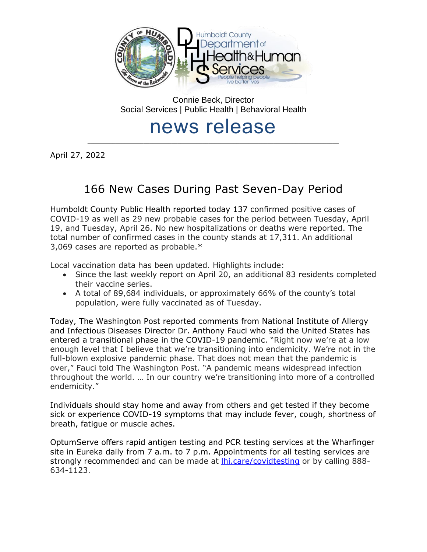

Connie Beck, Director Social Services | Public Health | Behavioral Health

# news release \_\_\_\_\_\_\_\_\_\_\_\_\_\_\_\_\_\_\_\_\_\_\_\_\_\_\_\_\_\_\_\_\_\_\_\_\_\_\_\_\_\_\_\_\_\_\_\_\_\_\_\_\_\_\_\_\_\_\_\_\_\_\_\_\_\_\_\_\_\_\_\_\_\_\_\_\_\_\_\_\_

April 27, 2022

# 166 New Cases During Past Seven-Day Period

Humboldt County Public Health reported today 137 confirmed positive cases of COVID-19 as well as 29 new probable cases for the period between Tuesday, April 19, and Tuesday, April 26. No new hospitalizations or deaths were reported. The total number of confirmed cases in the county stands at 17,311. An additional 3,069 cases are reported as probable.\*

Local vaccination data has been updated. Highlights include:

- Since the last weekly report on April 20, an additional 83 residents completed their vaccine series.
- A total of 89,684 individuals, or approximately 66% of the county's total population, were fully vaccinated as of Tuesday.

Today, The Washington Post reported comments from National Institute of Allergy and Infectious Diseases Director Dr. Anthony Fauci who said the United States has entered a transitional phase in the COVID-19 pandemic. "Right now we're at a low enough level that I believe that we're transitioning into endemicity. We're not in the full-blown explosive pandemic phase. That does not mean that the pandemic is over," Fauci told The Washington Post. "A pandemic means widespread infection throughout the world. … In our country we're transitioning into more of a controlled endemicity."

Individuals should stay home and away from others and get tested if they become sick or experience COVID-19 symptoms that may include fever, cough, shortness of breath, fatigue or muscle aches.

OptumServe offers rapid antigen testing and PCR testing services at the Wharfinger site in Eureka daily from 7 a.m. to 7 p.m. Appointments for all testing services are strongly recommended and can be made at *lhi.care/covidtesting* or by calling 888-634-1123.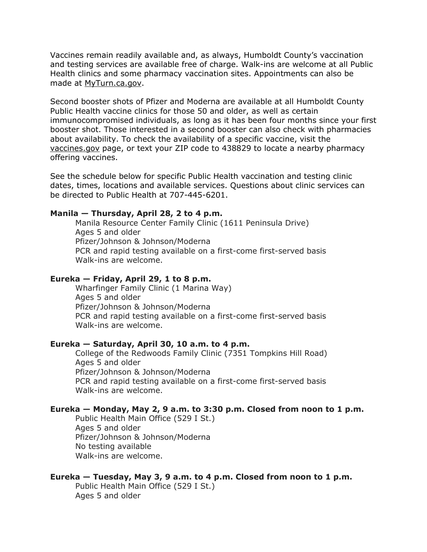Vaccines remain readily available and, as always, Humboldt County's vaccination and testing services are available free of charge. Walk-ins are welcome at all Public Health clinics and some pharmacy vaccination sites. Appointments can also be made at [MyTurn.ca.gov.](https://myturn.ca.gov/)

Second booster shots of Pfizer and Moderna are available at all Humboldt County Public Health vaccine clinics for those 50 and older, as well as certain immunocompromised individuals, as long as it has been four months since your first booster shot. Those interested in a second booster can also check with pharmacies about availability. To check the availability of a specific vaccine, visit the [vaccines.gov](https://www.vaccines.gov/search/) page, or text your ZIP code to 438829 to locate a nearby pharmacy offering vaccines.

See the schedule below for specific Public Health vaccination and testing clinic dates, times, locations and available services. Questions about clinic services can be directed to Public Health at 707-445-6201.

#### **Manila — Thursday, April 28, 2 to 4 p.m.**

Manila Resource Center Family Clinic (1611 Peninsula Drive) Ages 5 and older Pfizer/Johnson & Johnson/Moderna PCR and rapid testing available on a first-come first-served basis Walk-ins are welcome.

#### **Eureka — Friday, April 29, 1 to 8 p.m.**

Wharfinger Family Clinic (1 Marina Way) Ages 5 and older Pfizer/Johnson & Johnson/Moderna PCR and rapid testing available on a first-come first-served basis Walk-ins are welcome.

#### **Eureka — Saturday, April 30, 10 a.m. to 4 p.m.**

College of the Redwoods Family Clinic (7351 Tompkins Hill Road) Ages 5 and older Pfizer/Johnson & Johnson/Moderna PCR and rapid testing available on a first-come first-served basis Walk-ins are welcome.

#### **Eureka — Monday, May 2, 9 a.m. to 3:30 p.m. Closed from noon to 1 p.m.**

Public Health Main Office (529 I St.) Ages 5 and older Pfizer/Johnson & Johnson/Moderna No testing available Walk-ins are welcome.

#### **Eureka — Tuesday, May 3, 9 a.m. to 4 p.m. Closed from noon to 1 p.m.**

Public Health Main Office (529 I St.) Ages 5 and older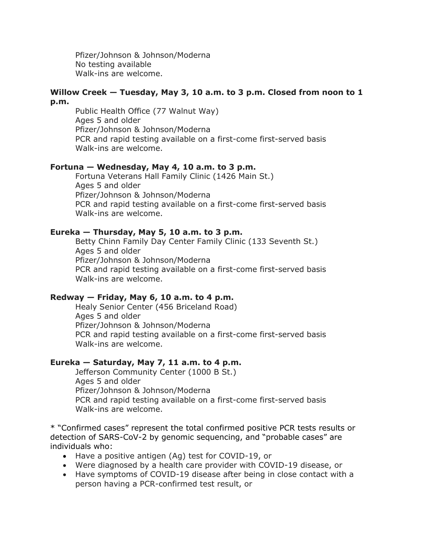Pfizer/Johnson & Johnson/Moderna No testing available Walk-ins are welcome.

#### **Willow Creek — Tuesday, May 3, 10 a.m. to 3 p.m. Closed from noon to 1 p.m.**

Public Health Office (77 Walnut Way) Ages 5 and older Pfizer/Johnson & Johnson/Moderna PCR and rapid testing available on a first-come first-served basis Walk-ins are welcome.

## **Fortuna — Wednesday, May 4, 10 a.m. to 3 p.m.**

Fortuna Veterans Hall Family Clinic (1426 Main St.) Ages 5 and older Pfizer/Johnson & Johnson/Moderna PCR and rapid testing available on a first-come first-served basis Walk-ins are welcome.

## **Eureka — Thursday, May 5, 10 a.m. to 3 p.m.**

Betty Chinn Family Day Center Family Clinic (133 Seventh St.) Ages 5 and older Pfizer/Johnson & Johnson/Moderna PCR and rapid testing available on a first-come first-served basis Walk-ins are welcome.

# **Redway — Friday, May 6, 10 a.m. to 4 p.m.**

Healy Senior Center (456 Briceland Road) Ages 5 and older Pfizer/Johnson & Johnson/Moderna PCR and rapid testing available on a first-come first-served basis Walk-ins are welcome.

# **Eureka — Saturday, May 7, 11 a.m. to 4 p.m.**

Jefferson Community Center (1000 B St.) Ages 5 and older Pfizer/Johnson & Johnson/Moderna PCR and rapid testing available on a first-come first-served basis Walk-ins are welcome.

\* "Confirmed cases" represent the total confirmed positive PCR tests results or detection of SARS-CoV-2 by genomic sequencing, and "probable cases" are individuals who:

- Have a positive antigen (Ag) test for COVID-19, or
- Were diagnosed by a health care provider with COVID-19 disease, or
- Have symptoms of COVID-19 disease after being in close contact with a person having a PCR-confirmed test result, or